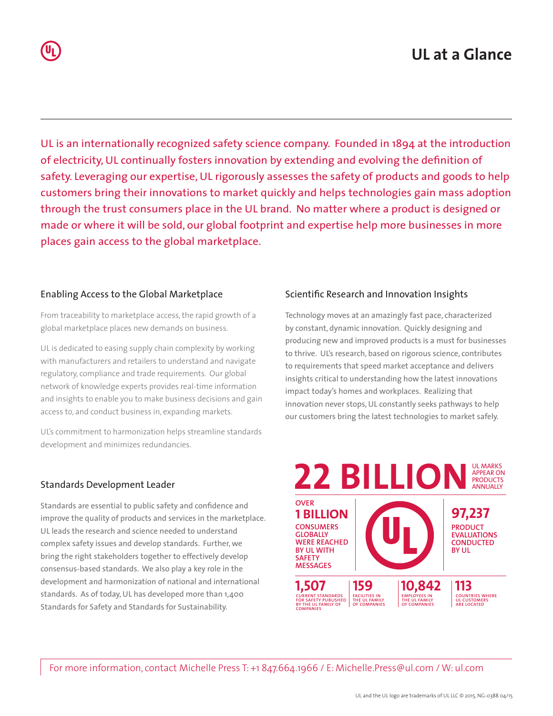UL is an internationally recognized safety science company. Founded in 1894 at the introduction of electricity, UL continually fosters innovation by extending and evolving the definition of safety. Leveraging our expertise, UL rigorously assesses the safety of products and goods to help customers bring their innovations to market quickly and helps technologies gain mass adoption through the trust consumers place in the UL brand. No matter where a product is designed or made or where it will be sold, our global footprint and expertise help more businesses in more places gain access to the global marketplace.

#### Enabling Access to the Global Marketplace

From traceability to marketplace access, the rapid growth of a global marketplace places new demands on business.

UL is dedicated to easing supply chain complexity by working with manufacturers and retailers to understand and navigate regulatory, compliance and trade requirements. Our global network of knowledge experts provides real-time information and insights to enable you to make business decisions and gain access to, and conduct business in, expanding markets.

UL's commitment to harmonization helps streamline standards development and minimizes redundancies.

### Standards Development Leader

Standards are essential to public safety and confidence and improve the quality of products and services in the marketplace. UL leads the research and science needed to understand complex safety issues and develop standards. Further, we bring the right stakeholders together to effectively develop consensus-based standards. We also play a key role in the development and harmonization of national and international standards. As of today, UL has developed more than 1,400 Standards for Safety and Standards for Sustainability.

### Scientific Research and Innovation Insights

Technology moves at an amazingly fast pace, characterized by constant, dynamic innovation. Quickly designing and producing new and improved products is a must for businesses to thrive. UL's research, based on rigorous science, contributes to requirements that speed market acceptance and delivers insights critical to understanding how the latest innovations impact today's homes and workplaces. Realizing that innovation never stops, UL constantly seeks pathways to help our customers bring the latest technologies to market safely.



For more information, contact Michelle Press T: +1 847.664.1966 / E: Michelle.Press@ul.com / W: ul.com